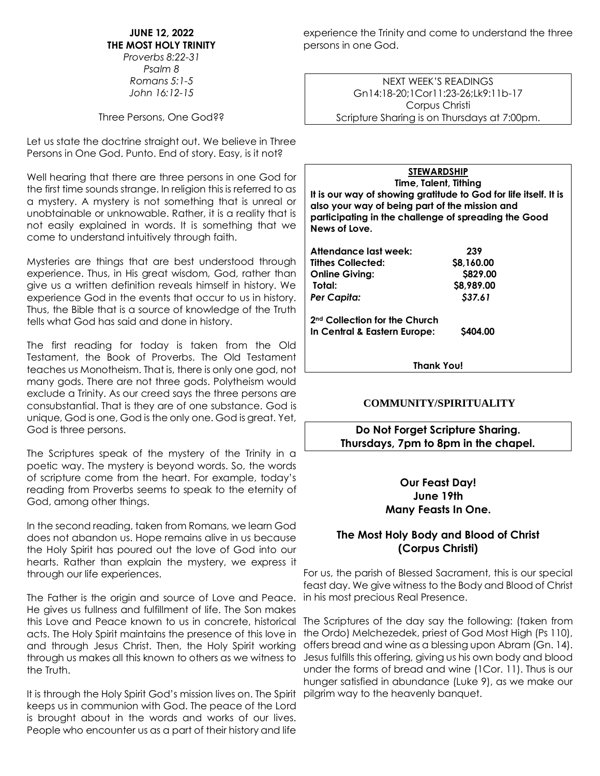**JUNE 12, 2022 THE MOST HOLY TRINITY** *Proverbs 8:22-31*

*Psalm 8 Romans 5:1-5 John 16:12-15*

Three Persons, One God??

Let us state the doctrine straight out. We believe in Three Persons in One God. Punto. End of story. Easy, is it not?

Well hearing that there are three persons in one God for the first time sounds strange. In religion this is referred to as a mystery. A mystery is not something that is unreal or unobtainable or unknowable. Rather, it is a reality that is not easily explained in words. It is something that we come to understand intuitively through faith.

Mysteries are things that are best understood through experience. Thus, in His great wisdom, God, rather than give us a written definition reveals himself in history. We experience God in the events that occur to us in history. Thus, the Bible that is a source of knowledge of the Truth tells what God has said and done in history.

The first reading for today is taken from the Old Testament, the Book of Proverbs. The Old Testament teaches us Monotheism. That is, there is only one god, not many gods. There are not three gods. Polytheism would exclude a Trinity. As our creed says the three persons are consubstantial. That is they are of one substance. God is unique, God is one, God is the only one. God is great. Yet, God is three persons.

The Scriptures speak of the mystery of the Trinity in a poetic way. The mystery is beyond words. So, the words of scripture come from the heart. For example, today's reading from Proverbs seems to speak to the eternity of God, among other things.

In the second reading, taken from Romans, we learn God does not abandon us. Hope remains alive in us because the Holy Spirit has poured out the love of God into our hearts. Rather than explain the mystery, we express it through our life experiences.

The Father is the origin and source of Love and Peace. in his most precious Real Presence. He gives us fullness and fulfillment of life. The Son makes and through Jesus Christ. Then, the Holy Spirit working the Truth.

It is through the Holy Spirit God's mission lives on. The Spirit pilgrim way to the heavenly banquet.keeps us in communion with God. The peace of the Lord is brought about in the words and works of our lives. People who encounter us as a part of their history and life

experience the Trinity and come to understand the three persons in one God.

> NEXT WEEK'S READINGS Gn14:18-20;1Cor11:23-26;Lk9:11b-17 Corpus Christi Scripture Sharing is on Thursdays at 7:00pm.

**STEWARDSHIP Time, Talent, Tithing It is our way of showing gratitude to God for life itself. It is also your way of being part of the mission and participating in the challenge of spreading the Good News of Love. Attendance last week: 239 Tithes Collected: \$8,160.00 Online Giving: \$829.00 Total: \$8,989.00**  *Per Capita: \$37.61* **2nd Collection for the Church In Central & Eastern Europe: \$404.00**

**Thank You!**

#### **COMMUNITY/SPIRITUALITY**

**Do Not Forget Scripture Sharing. Thursdays, 7pm to 8pm in the chapel.**

### **Our Feast Day! June 19th Many Feasts In One.**

# **The Most Holy Body and Blood of Christ (Corpus Christi)**

For us, the parish of Blessed Sacrament, this is our special feast day. We give witness to the Body and Blood of Christ

this Love and Peace known to us in concrete, historical The Scriptures of the day say the following: (taken from acts. The Holy Spirit maintains the presence of this love in the Ordo) Melchezedek, priest of God Most High (Ps 110), through us makes all this known to others as we witness to Jesus fulfills this offering, giving us his own body and blood offers bread and wine as a blessing upon Abram (Gn. 14). under the forms of bread and wine (1Cor. 11). Thus is our hunger satisfied in abundance (Luke 9), as we make our